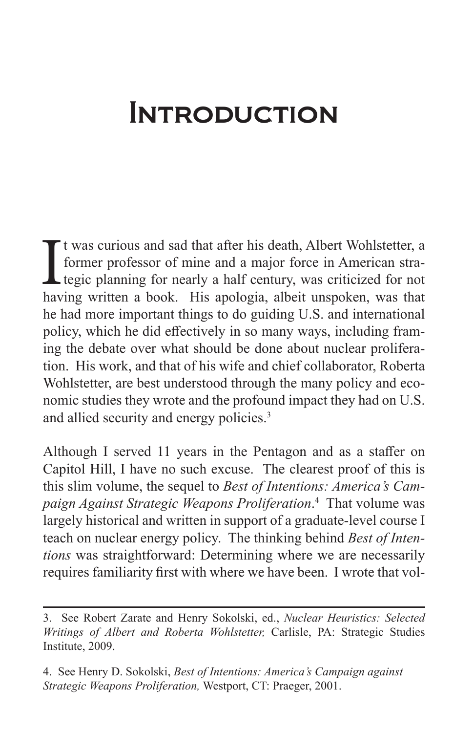## **INTRODUCTION**

It was curious and sad that after his death, Albert Wohlstetter, a former professor of mine and a major force in American strategic planning for nearly a half century, was criticized for not having written a book. His apol t was curious and sad that after his death, Albert Wohlstetter, a former professor of mine and a major force in American stra-Legic planning for nearly a half century, was criticized for not he had more important things to do guiding U.S. and international policy, which he did effectively in so many ways, including framing the debate over what should be done about nuclear proliferation. His work, and that of his wife and chief collaborator, Roberta Wohlstetter, are best understood through the many policy and economic studies they wrote and the profound impact they had on U.S. and allied security and energy policies.3

Although I served 11 years in the Pentagon and as a staffer on Capitol Hill, I have no such excuse. The clearest proof of this is this slim volume, the sequel to *Best of Intentions: America's Campaign Against Strategic Weapons Proliferation*. 4 That volume was largely historical and written in support of a graduate-level course I teach on nuclear energy policy. The thinking behind *Best of Intentions* was straightforward: Determining where we are necessarily requires familiarity first with where we have been. I wrote that vol-

<sup>3.</sup> See Robert Zarate and Henry Sokolski, ed., *Nuclear Heuristics: Selected Writings of Albert and Roberta Wohlstetter,* Carlisle, PA: Strategic Studies Institute, 2009.

<sup>4.</sup> See Henry D. Sokolski, *Best of Intentions: America's Campaign against Strategic Weapons Proliferation,* Westport, CT: Praeger, 2001.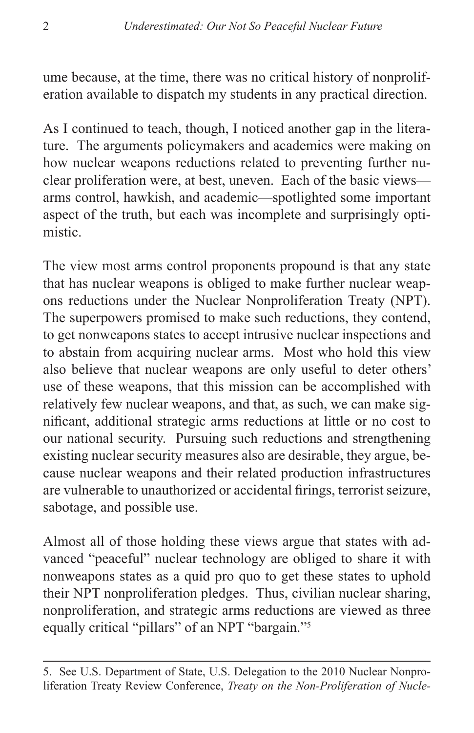ume because, at the time, there was no critical history of nonproliferation available to dispatch my students in any practical direction.

As I continued to teach, though, I noticed another gap in the literature. The arguments policymakers and academics were making on how nuclear weapons reductions related to preventing further nuclear proliferation were, at best, uneven. Each of the basic views arms control, hawkish, and academic—spotlighted some important aspect of the truth, but each was incomplete and surprisingly optimistic.

The view most arms control proponents propound is that any state that has nuclear weapons is obliged to make further nuclear weapons reductions under the Nuclear Nonproliferation Treaty (NPT). The superpowers promised to make such reductions, they contend, to get nonweapons states to accept intrusive nuclear inspections and to abstain from acquiring nuclear arms. Most who hold this view also believe that nuclear weapons are only useful to deter others' use of these weapons, that this mission can be accomplished with relatively few nuclear weapons, and that, as such, we can make significant, additional strategic arms reductions at little or no cost to our national security. Pursuing such reductions and strengthening existing nuclear security measures also are desirable, they argue, because nuclear weapons and their related production infrastructures are vulnerable to unauthorized or accidental firings, terrorist seizure, sabotage, and possible use.

Almost all of those holding these views argue that states with advanced "peaceful" nuclear technology are obliged to share it with nonweapons states as a quid pro quo to get these states to uphold their NPT nonproliferation pledges. Thus, civilian nuclear sharing, nonproliferation, and strategic arms reductions are viewed as three equally critical "pillars" of an NPT "bargain."5

<sup>5.</sup> See U.S. Department of State, U.S. Delegation to the 2010 Nuclear Nonproliferation Treaty Review Conference, *Treaty on the Non-Proliferation of Nucle-*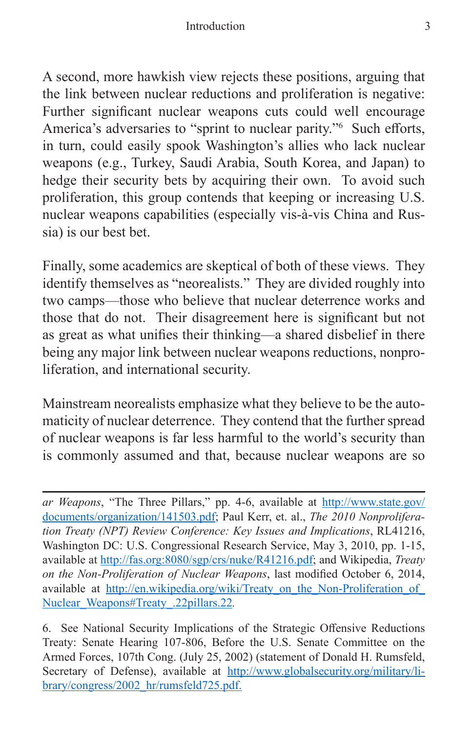## Introduction 3

A second, more hawkish view rejects these positions, arguing that the link between nuclear reductions and proliferation is negative: Further significant nuclear weapons cuts could well encourage America's adversaries to "sprint to nuclear parity."6 Such efforts, in turn, could easily spook Washington's allies who lack nuclear weapons (e.g., Turkey, Saudi Arabia, South Korea, and Japan) to hedge their security bets by acquiring their own. To avoid such proliferation, this group contends that keeping or increasing U.S. nuclear weapons capabilities (especially vis-à-vis China and Russia) is our best bet.

Finally, some academics are skeptical of both of these views. They identify themselves as "neorealists." They are divided roughly into two camps—those who believe that nuclear deterrence works and those that do not. Their disagreement here is significant but not as great as what unifies their thinking—a shared disbelief in there being any major link between nuclear weapons reductions, nonproliferation, and international security.

Mainstream neorealists emphasize what they believe to be the automaticity of nuclear deterrence. They contend that the further spread of nuclear weapons is far less harmful to the world's security than is commonly assumed and that, because nuclear weapons are so

*ar Weapons*, "The Three Pillars," pp. 4-6, available at [http://www.state.gov/](http://www.state.gov/documents/organization/141503.pdf) [documents/organization/141503.pdf;](http://www.state.gov/documents/organization/141503.pdf) Paul Kerr, et. al., *The 2010 Nonproliferation Treaty (NPT) Review Conference: Key Issues and Implications*, RL41216, Washington DC: U.S. Congressional Research Service, May 3, 2010, pp. 1-15, available at <http://fas.org:8080/sgp/crs/nuke/R41216.pdf>; and Wikipedia, *Treaty on the Non-Proliferation of Nuclear Weapons*, last modified October 6, 2014, available at http://en.wikipedia.org/wiki/Treaty\_on\_the\_Non-Proliferation\_of [Nuclear\\_Weapons#Treaty\\_.22pillars.22](http://en.wikipedia.org/wiki/Treaty_on_the_Non-Proliferation_of_Nuclear_Weapons#Treaty_.22pillars.22)*.*

<sup>6.</sup> See National Security Implications of the Strategic Offensive Reductions Treaty: Senate Hearing 107-806, Before the U.S. Senate Committee on the Armed Forces, 107th Cong. (July 25, 2002) (statement of Donald H. Rumsfeld, Secretary of Defense), available at [http://www.globalsecurity.org/military/li](http://www.globalsecurity.org/military/library/congress/2002_hr/rumsfeld725.pdf)[brary/congress/2002\\_hr/rumsfeld725.pdf.](http://www.globalsecurity.org/military/library/congress/2002_hr/rumsfeld725.pdf)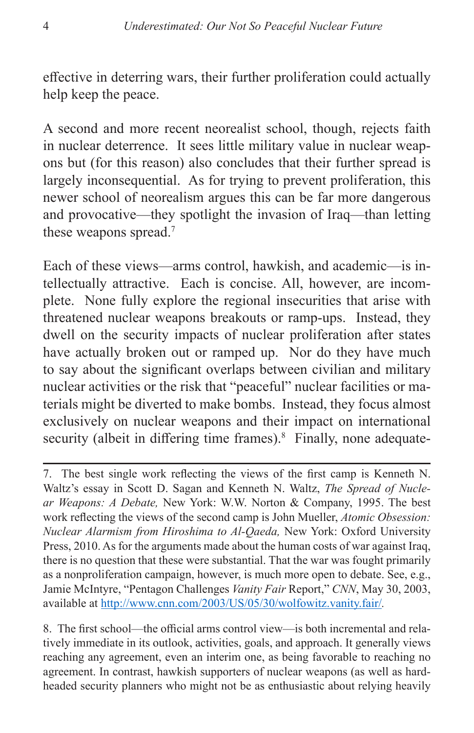effective in deterring wars, their further proliferation could actually help keep the peace.

A second and more recent neorealist school, though, rejects faith in nuclear deterrence. It sees little military value in nuclear weapons but (for this reason) also concludes that their further spread is largely inconsequential. As for trying to prevent proliferation, this newer school of neorealism argues this can be far more dangerous and provocative—they spotlight the invasion of Iraq—than letting these weapons spread.<sup>7</sup>

Each of these views—arms control, hawkish, and academic—is intellectually attractive. Each is concise. All, however, are incomplete. None fully explore the regional insecurities that arise with threatened nuclear weapons breakouts or ramp-ups. Instead, they dwell on the security impacts of nuclear proliferation after states have actually broken out or ramped up. Nor do they have much to say about the significant overlaps between civilian and military nuclear activities or the risk that "peaceful" nuclear facilities or materials might be diverted to make bombs. Instead, they focus almost exclusively on nuclear weapons and their impact on international security (albeit in differing time frames).<sup>8</sup> Finally, none adequate-

<sup>7.</sup> The best single work reflecting the views of the first camp is Kenneth N. Waltz's essay in Scott D. Sagan and Kenneth N. Waltz, *The Spread of Nuclear Weapons: A Debate,* New York: W.W. Norton & Company, 1995. The best work reflecting the views of the second camp is John Mueller, *Atomic Obsession: Nuclear Alarmism from Hiroshima to Al-Qaeda,* New York: Oxford University Press, 2010. As for the arguments made about the human costs of war against Iraq, there is no question that these were substantial. That the war was fought primarily as a nonproliferation campaign, however, is much more open to debate. See, e.g., Jamie McIntyre, "Pentagon Challenges *Vanity Fair* Report," *CNN*, May 30, 2003, available at<http://www.cnn.com/2003/US/05/30/wolfowitz.vanity.fair/>*.*

<sup>8.</sup> The first school—the official arms control view—is both incremental and relatively immediate in its outlook, activities, goals, and approach. It generally views reaching any agreement, even an interim one, as being favorable to reaching no agreement. In contrast, hawkish supporters of nuclear weapons (as well as hardheaded security planners who might not be as enthusiastic about relying heavily